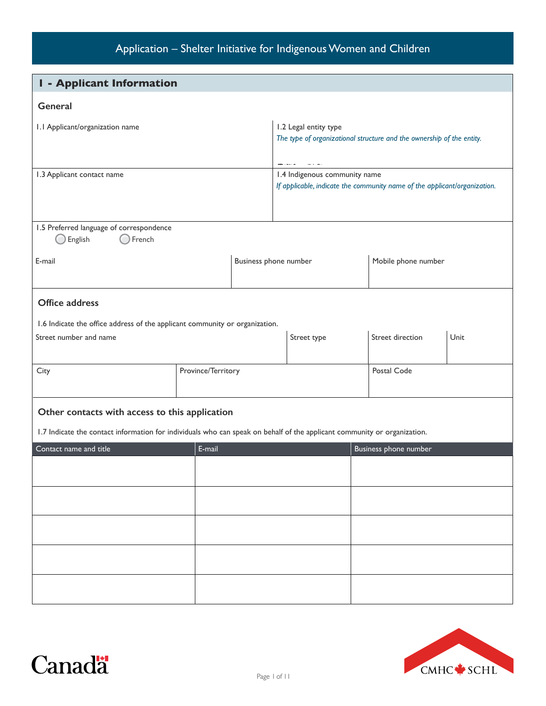# Application – Shelter Initiative for Indigenous Women and Children

| <b>I - Applicant Information</b>                                                                                         |                    |                       |                       |                               |                                                                           |      |
|--------------------------------------------------------------------------------------------------------------------------|--------------------|-----------------------|-----------------------|-------------------------------|---------------------------------------------------------------------------|------|
|                                                                                                                          |                    |                       |                       |                               |                                                                           |      |
| General                                                                                                                  |                    |                       |                       |                               |                                                                           |      |
| 1.1 Applicant/organization name                                                                                          |                    |                       | 1.2 Legal entity type |                               |                                                                           |      |
|                                                                                                                          |                    |                       |                       |                               | The type of organizational structure and the ownership of the entity.     |      |
|                                                                                                                          |                    |                       |                       |                               |                                                                           |      |
| 1.3 Applicant contact name                                                                                               |                    |                       |                       | 1.4 Indigenous community name |                                                                           |      |
|                                                                                                                          |                    |                       |                       |                               | If applicable, indicate the community name of the applicant/organization. |      |
|                                                                                                                          |                    |                       |                       |                               |                                                                           |      |
| 1.5 Preferred language of correspondence                                                                                 |                    |                       |                       |                               |                                                                           |      |
| English<br>French                                                                                                        |                    |                       |                       |                               |                                                                           |      |
| E-mail                                                                                                                   |                    | Business phone number |                       |                               | Mobile phone number                                                       |      |
|                                                                                                                          |                    |                       |                       |                               |                                                                           |      |
|                                                                                                                          |                    |                       |                       |                               |                                                                           |      |
| Office address                                                                                                           |                    |                       |                       |                               |                                                                           |      |
| 1.6 Indicate the office address of the applicant community or organization.                                              |                    |                       |                       |                               |                                                                           |      |
| Street number and name                                                                                                   |                    |                       |                       | Street type                   | Street direction                                                          | Unit |
|                                                                                                                          |                    |                       |                       |                               |                                                                           |      |
| City                                                                                                                     | Province/Territory |                       |                       |                               | Postal Code                                                               |      |
|                                                                                                                          |                    |                       |                       |                               |                                                                           |      |
|                                                                                                                          |                    |                       |                       |                               |                                                                           |      |
| Other contacts with access to this application                                                                           |                    |                       |                       |                               |                                                                           |      |
| 1.7 Indicate the contact information for individuals who can speak on behalf of the applicant community or organization. |                    |                       |                       |                               |                                                                           |      |
| Contact name and title                                                                                                   | E-mail             |                       |                       |                               | Business phone number                                                     |      |
|                                                                                                                          |                    |                       |                       |                               |                                                                           |      |
|                                                                                                                          |                    |                       |                       |                               |                                                                           |      |
|                                                                                                                          |                    |                       |                       |                               |                                                                           |      |
|                                                                                                                          |                    |                       |                       |                               |                                                                           |      |
|                                                                                                                          |                    |                       |                       |                               |                                                                           |      |
|                                                                                                                          |                    |                       |                       |                               |                                                                           |      |
|                                                                                                                          |                    |                       |                       |                               |                                                                           |      |
|                                                                                                                          |                    |                       |                       |                               |                                                                           |      |
|                                                                                                                          |                    |                       |                       |                               |                                                                           |      |



**Canadä**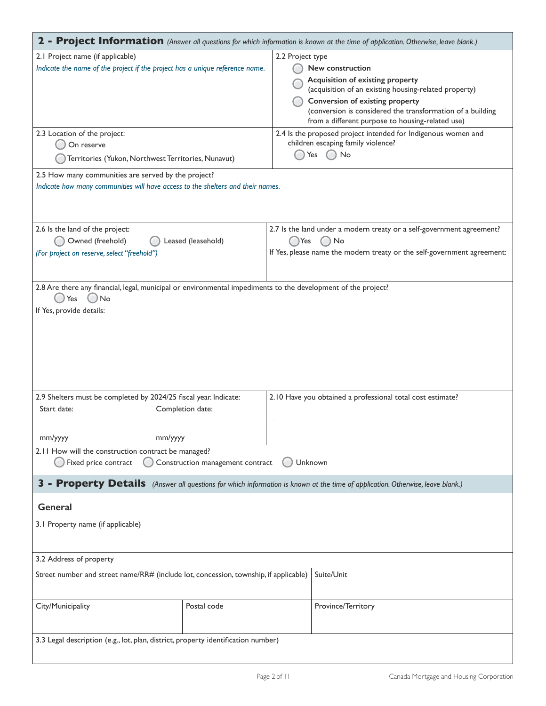|                                                                                                                                                        |                                  |                  | 2 - Project Information (Answer all questions for which information is known at the time of application. Otherwise, leave blank.)                                                                                                                                  |
|--------------------------------------------------------------------------------------------------------------------------------------------------------|----------------------------------|------------------|--------------------------------------------------------------------------------------------------------------------------------------------------------------------------------------------------------------------------------------------------------------------|
| 2.1 Project name (if applicable)<br>Indicate the name of the project if the project has a unique reference name.                                       |                                  | 2.2 Project type | New construction<br>Acquisition of existing property<br>(acquisition of an existing housing-related property)<br>Conversion of existing property<br>(conversion is considered the transformation of a building<br>from a different purpose to housing-related use) |
| 2.3 Location of the project:<br>On reserve<br>Territories (Yukon, Northwest Territories, Nunavut)                                                      |                                  |                  | 2.4 Is the proposed project intended for Indigenous women and<br>children escaping family violence?<br>No<br>Yes                                                                                                                                                   |
| 2.5 How many communities are served by the project?<br>Indicate how many communities will have access to the shelters and their names.                 |                                  |                  |                                                                                                                                                                                                                                                                    |
| 2.6 ls the land of the project:<br>Owned (freehold)<br>(For project on reserve, select "freehold")                                                     | Leased (leasehold)               | Yes              | 2.7 Is the land under a modern treaty or a self-government agreement?<br>No<br>If Yes, please name the modern treaty or the self-government agreement:                                                                                                             |
| 2.8 Are there any financial, legal, municipal or environmental impediments to the development of the project?<br>Yes<br>No<br>If Yes, provide details: |                                  |                  |                                                                                                                                                                                                                                                                    |
| 2.9 Shelters must be completed by 2024/25 fiscal year. Indicate:<br>Start date:                                                                        | Completion date:                 |                  | 2.10 Have you obtained a professional total cost estimate?                                                                                                                                                                                                         |
| mm/yyyy<br>mm/yyyy                                                                                                                                     |                                  |                  |                                                                                                                                                                                                                                                                    |
| 2.11 How will the construction contract be managed?<br>Fixed price contract                                                                            | Construction management contract |                  | Unknown                                                                                                                                                                                                                                                            |
|                                                                                                                                                        |                                  |                  | 3 - Property Details (Answer all questions for which information is known at the time of application. Otherwise, leave blank.)                                                                                                                                     |
| General<br>3.1 Property name (if applicable)                                                                                                           |                                  |                  |                                                                                                                                                                                                                                                                    |
| 3.2 Address of property                                                                                                                                |                                  |                  |                                                                                                                                                                                                                                                                    |
| Street number and street name/RR# (include lot, concession, township, if applicable)                                                                   |                                  |                  | Suite/Unit                                                                                                                                                                                                                                                         |
| City/Municipality                                                                                                                                      | Postal code                      |                  | Province/Territory                                                                                                                                                                                                                                                 |
| 3.3 Legal description (e.g., lot, plan, district, property identification number)                                                                      |                                  |                  |                                                                                                                                                                                                                                                                    |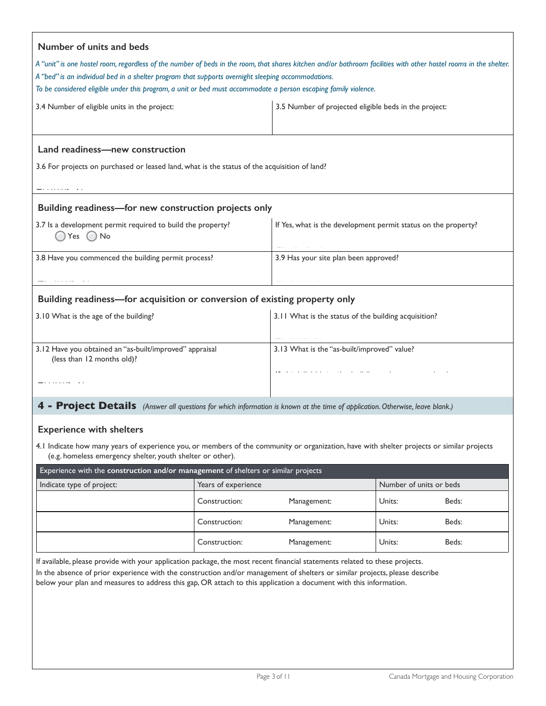| Number of units and beds                                                                                                                                                                                 |                     |                                                                |                                                       |       |
|----------------------------------------------------------------------------------------------------------------------------------------------------------------------------------------------------------|---------------------|----------------------------------------------------------------|-------------------------------------------------------|-------|
| A "unit" is one hostel room, regardless of the number of beds in the room, that shares kitchen and/or bathroom facilities with other hostel rooms in the shelter.                                        |                     |                                                                |                                                       |       |
| A "bed" is an individual bed in a shelter program that supports overnight sleeping accommodations.                                                                                                       |                     |                                                                |                                                       |       |
| To be considered eligible under this program, a unit or bed must accommodate a person escaping family violence.                                                                                          |                     |                                                                |                                                       |       |
| 3.4 Number of eligible units in the project:                                                                                                                                                             |                     |                                                                | 3.5 Number of projected eligible beds in the project: |       |
|                                                                                                                                                                                                          |                     |                                                                |                                                       |       |
| Land readiness-new construction                                                                                                                                                                          |                     |                                                                |                                                       |       |
| 3.6 For projects on purchased or leased land, what is the status of the acquisition of land?                                                                                                             |                     |                                                                |                                                       |       |
|                                                                                                                                                                                                          |                     |                                                                |                                                       |       |
| Building readiness-for new construction projects only                                                                                                                                                    |                     |                                                                |                                                       |       |
| 3.7 Is a development permit required to build the property?<br>Yes $()$ No                                                                                                                               |                     | If Yes, what is the development permit status on the property? |                                                       |       |
| 3.8 Have you commenced the building permit process?                                                                                                                                                      |                     | 3.9 Has your site plan been approved?                          |                                                       |       |
|                                                                                                                                                                                                          |                     |                                                                |                                                       |       |
| Building readiness—for acquisition or conversion of existing property only                                                                                                                               |                     |                                                                |                                                       |       |
| 3.10 What is the age of the building?                                                                                                                                                                    |                     | 3.11 What is the status of the building acquisition?           |                                                       |       |
|                                                                                                                                                                                                          |                     |                                                                |                                                       |       |
| 3.12 Have you obtained an "as-built/improved" appraisal<br>(less than 12 months old)?                                                                                                                    |                     | 3.13 What is the "as-built/improved" value?                    |                                                       |       |
|                                                                                                                                                                                                          |                     |                                                                |                                                       |       |
|                                                                                                                                                                                                          |                     |                                                                |                                                       |       |
| 4 - Project Details (Answer all questions for which information is known at the time of application. Otherwise, leave blank.)                                                                            |                     |                                                                |                                                       |       |
| <b>Experience with shelters</b>                                                                                                                                                                          |                     |                                                                |                                                       |       |
| 4.1 Indicate how many years of experience you, or members of the community or organization, have with shelter projects or similar projects<br>(e.g. homeless emergency shelter, youth shelter or other). |                     |                                                                |                                                       |       |
| Experience with the construction and/or management of shelters or similar projects                                                                                                                       |                     |                                                                |                                                       |       |
| Indicate type of project:                                                                                                                                                                                | Years of experience |                                                                | Number of units or beds                               |       |
|                                                                                                                                                                                                          | Construction:       | Management:                                                    | Units:                                                | Beds: |
|                                                                                                                                                                                                          | Construction:       | Management:                                                    | Units:                                                | Beds: |
|                                                                                                                                                                                                          | Construction:       | Management:                                                    | Units:                                                | Beds: |

If available, please provide with your application package, the most recent financial statements related to these projects.

In the absence of prior experience with the construction and/or management of shelters or similar projects, please describe below your plan and measures to address this gap, OR attach to this application a document with this information.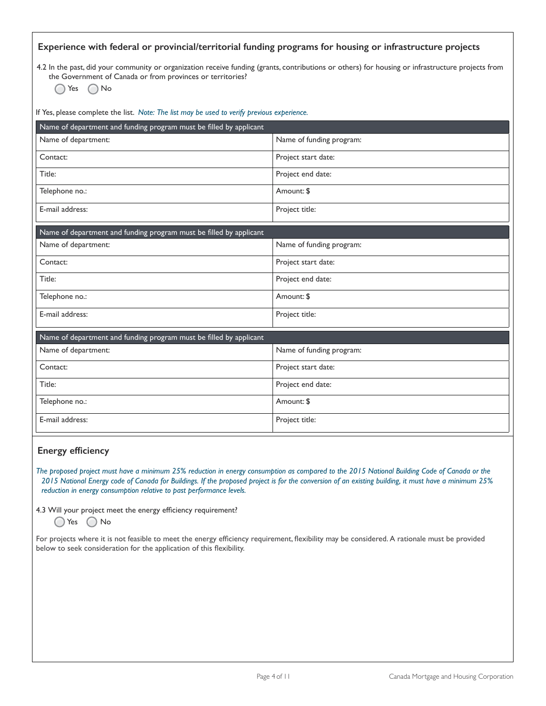| Experience with federal or provincial/territorial funding programs for housing or infrastructure projects                                                                                                                           |                          |  |  |  |
|-------------------------------------------------------------------------------------------------------------------------------------------------------------------------------------------------------------------------------------|--------------------------|--|--|--|
| 4.2 In the past, did your community or organization receive funding (grants, contributions or others) for housing or infrastructure projects from<br>the Government of Canada or from provinces or territories?<br>Yes $\bigcap$ No |                          |  |  |  |
| If Yes, please complete the list. Note: The list may be used to verify previous experience.                                                                                                                                         |                          |  |  |  |
| Name of department and funding program must be filled by applicant                                                                                                                                                                  |                          |  |  |  |
| Name of department:                                                                                                                                                                                                                 | Name of funding program: |  |  |  |
| Contact:                                                                                                                                                                                                                            | Project start date:      |  |  |  |
| Title:                                                                                                                                                                                                                              | Project end date:        |  |  |  |
| Telephone no.:                                                                                                                                                                                                                      | Amount: \$               |  |  |  |
| E-mail address:                                                                                                                                                                                                                     | Project title:           |  |  |  |
| Name of department and funding program must be filled by applicant                                                                                                                                                                  |                          |  |  |  |
| Name of department:                                                                                                                                                                                                                 | Name of funding program: |  |  |  |
| Contact:                                                                                                                                                                                                                            | Project start date:      |  |  |  |
| Title:                                                                                                                                                                                                                              | Project end date:        |  |  |  |
| Telephone no.:                                                                                                                                                                                                                      | Amount: \$               |  |  |  |
| E-mail address:                                                                                                                                                                                                                     | Project title:           |  |  |  |
| Name of department and funding program must be filled by applicant                                                                                                                                                                  |                          |  |  |  |
| Name of department:                                                                                                                                                                                                                 | Name of funding program: |  |  |  |
| Contact:                                                                                                                                                                                                                            | Project start date:      |  |  |  |
| Title:                                                                                                                                                                                                                              | Project end date:        |  |  |  |
| Telephone no.:                                                                                                                                                                                                                      | Amount: \$               |  |  |  |
| E-mail address:                                                                                                                                                                                                                     | Project title:           |  |  |  |

# **Energy efficiency**

*The proposed project must have a minimum 25% reduction in energy consumption as compared to the 2015 National Building Code of Canada or the 2015 National Energy code of Canada for Buildings. If the proposed project is for the conversion of an existing building, it must have a minimum 25% reduction in energy consumption relative to past performance levels.*

4.3 Will your project meet the energy efficiency requirement?

○Yes ○ No

For projects where it is not feasible to meet the energy efficiency requirement, flexibility may be considered. A rationale must be provided below to seek consideration for the application of this flexibility.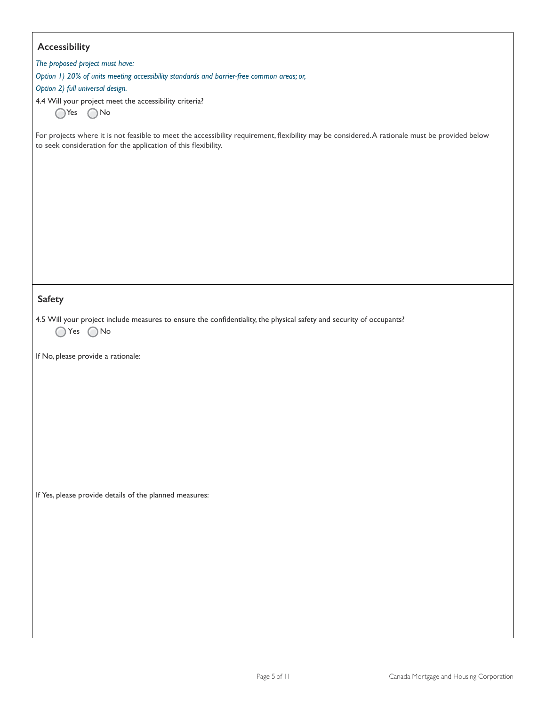| Accessibility                                                                                                                                                                                                    |
|------------------------------------------------------------------------------------------------------------------------------------------------------------------------------------------------------------------|
| The proposed project must have:                                                                                                                                                                                  |
| Option 1) 20% of units meeting accessibility standards and barrier-free common areas; or,                                                                                                                        |
| Option 2) full universal design.                                                                                                                                                                                 |
| 4.4 Will your project meet the accessibility criteria?                                                                                                                                                           |
| $\bigcap$ No<br>$\bigcap$ Yes                                                                                                                                                                                    |
|                                                                                                                                                                                                                  |
| For projects where it is not feasible to meet the accessibility requirement, flexibility may be considered. A rationale must be provided below<br>to seek consideration for the application of this flexibility. |
|                                                                                                                                                                                                                  |
|                                                                                                                                                                                                                  |
|                                                                                                                                                                                                                  |
|                                                                                                                                                                                                                  |
|                                                                                                                                                                                                                  |
|                                                                                                                                                                                                                  |
| <b>Safety</b>                                                                                                                                                                                                    |
| 4.5 Will your project include measures to ensure the confidentiality, the physical safety and security of occupants?<br>Yes<br>$\bigcap$ No                                                                      |
| If No, please provide a rationale:                                                                                                                                                                               |
|                                                                                                                                                                                                                  |
|                                                                                                                                                                                                                  |
|                                                                                                                                                                                                                  |
|                                                                                                                                                                                                                  |
|                                                                                                                                                                                                                  |
|                                                                                                                                                                                                                  |
|                                                                                                                                                                                                                  |
| If Yes, please provide details of the planned measures:                                                                                                                                                          |
|                                                                                                                                                                                                                  |
|                                                                                                                                                                                                                  |
|                                                                                                                                                                                                                  |
|                                                                                                                                                                                                                  |
|                                                                                                                                                                                                                  |
|                                                                                                                                                                                                                  |
|                                                                                                                                                                                                                  |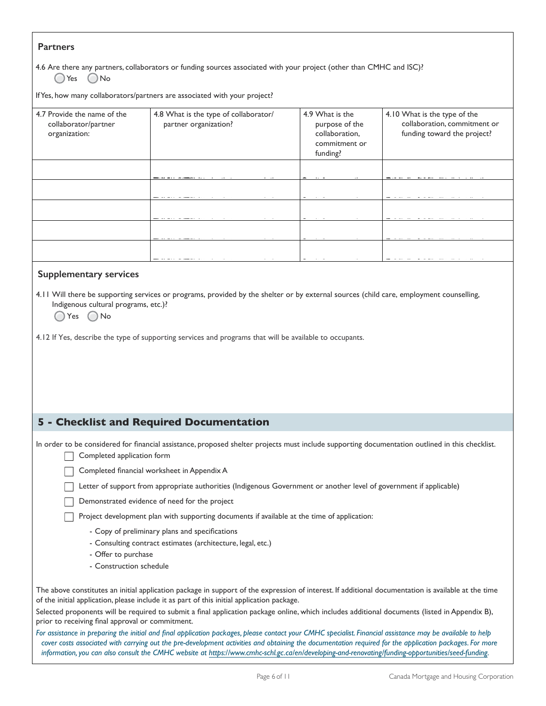| <b>Partners</b>                                                      |                                                                                                                                                                                                                                                                                                                                                                                                                                                                             |                                                                                  |                                                                                             |  |
|----------------------------------------------------------------------|-----------------------------------------------------------------------------------------------------------------------------------------------------------------------------------------------------------------------------------------------------------------------------------------------------------------------------------------------------------------------------------------------------------------------------------------------------------------------------|----------------------------------------------------------------------------------|---------------------------------------------------------------------------------------------|--|
| Yes<br>( ) No                                                        | 4.6 Are there any partners, collaborators or funding sources associated with your project (other than CMHC and ISC)?                                                                                                                                                                                                                                                                                                                                                        |                                                                                  |                                                                                             |  |
|                                                                      | If Yes, how many collaborators/partners are associated with your project?                                                                                                                                                                                                                                                                                                                                                                                                   |                                                                                  |                                                                                             |  |
| 4.7 Provide the name of the<br>collaborator/partner<br>organization: | 4.8 What is the type of collaborator/<br>partner organization?                                                                                                                                                                                                                                                                                                                                                                                                              | 4.9 What is the<br>purpose of the<br>collaboration,<br>commitment or<br>funding? | 4.10 What is the type of the<br>collaboration, commitment or<br>funding toward the project? |  |
|                                                                      |                                                                                                                                                                                                                                                                                                                                                                                                                                                                             |                                                                                  |                                                                                             |  |
|                                                                      |                                                                                                                                                                                                                                                                                                                                                                                                                                                                             |                                                                                  |                                                                                             |  |
| <b>Supplementary services</b>                                        | 4.11 Will there be supporting services or programs, provided by the shelter or by external sources (child care, employment counselling,                                                                                                                                                                                                                                                                                                                                     |                                                                                  |                                                                                             |  |
| Indigenous cultural programs, etc.)?<br>No<br>Yes                    |                                                                                                                                                                                                                                                                                                                                                                                                                                                                             |                                                                                  |                                                                                             |  |
|                                                                      | 4.12 If Yes, describe the type of supporting services and programs that will be available to occupants.                                                                                                                                                                                                                                                                                                                                                                     |                                                                                  |                                                                                             |  |
|                                                                      |                                                                                                                                                                                                                                                                                                                                                                                                                                                                             |                                                                                  |                                                                                             |  |
|                                                                      | 5 - Checklist and Required Documentation                                                                                                                                                                                                                                                                                                                                                                                                                                    |                                                                                  |                                                                                             |  |
| Completed application form                                           | In order to be considered for financial assistance, proposed shelter projects must include supporting documentation outlined in this checklist.                                                                                                                                                                                                                                                                                                                             |                                                                                  |                                                                                             |  |
|                                                                      | Completed financial worksheet in Appendix A                                                                                                                                                                                                                                                                                                                                                                                                                                 |                                                                                  |                                                                                             |  |
|                                                                      | Letter of support from appropriate authorities (Indigenous Government or another level of government if applicable)                                                                                                                                                                                                                                                                                                                                                         |                                                                                  |                                                                                             |  |
|                                                                      | Demonstrated evidence of need for the project                                                                                                                                                                                                                                                                                                                                                                                                                               |                                                                                  |                                                                                             |  |
|                                                                      | Project development plan with supporting documents if available at the time of application:                                                                                                                                                                                                                                                                                                                                                                                 |                                                                                  |                                                                                             |  |
|                                                                      | - Copy of preliminary plans and specifications<br>- Consulting contract estimates (architecture, legal, etc.)                                                                                                                                                                                                                                                                                                                                                               |                                                                                  |                                                                                             |  |
| - Offer to purchase<br>- Construction schedule                       |                                                                                                                                                                                                                                                                                                                                                                                                                                                                             |                                                                                  |                                                                                             |  |
|                                                                      |                                                                                                                                                                                                                                                                                                                                                                                                                                                                             |                                                                                  |                                                                                             |  |
|                                                                      | The above constitutes an initial application package in support of the expression of interest. If additional documentation is available at the time<br>of the initial application, please include it as part of this initial application package.                                                                                                                                                                                                                           |                                                                                  |                                                                                             |  |
| prior to receiving final approval or commitment.                     | Selected proponents will be required to submit a final application package online, which includes additional documents (listed in Appendix B),                                                                                                                                                                                                                                                                                                                              |                                                                                  |                                                                                             |  |
|                                                                      | For assistance in preparing the initial and final application packages, please contact your CMHC specialist. Financial assistance may be available to help<br>cover costs associated with carrying out the pre-development activities and obtaining the documentation required for the application packages. For more<br>information, you can also consult the CMHC website at https://www.cmhc-schl.gc.ca/en/developing-and-renovating/funding-opportunities/seed-funding. |                                                                                  |                                                                                             |  |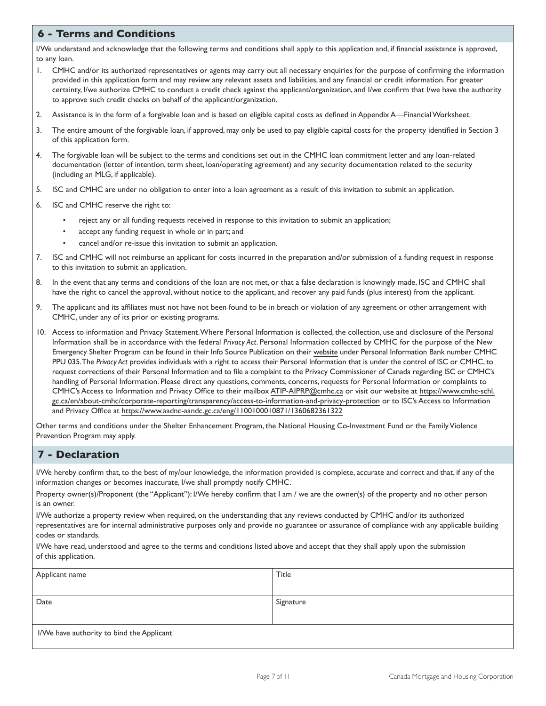## **6 - Terms and Conditions**

I/We understand and acknowledge that the following terms and conditions shall apply to this application and, if financial assistance is approved, to any loan.

- 1. CMHC and/or its authorized representatives or agents may carry out all necessary enquiries for the purpose of confirming the information provided in this application form and may review any relevant assets and liabilities, and any financial or credit information. For greater certainty, I/we authorize CMHC to conduct a credit check against the applicant/organization, and I/we confirm that I/we have the authority to approve such credit checks on behalf of the applicant/organization.
- 2. Assistance is in the form of a forgivable loan and is based on eligible capital costs as defined in Appendix A—Financial Worksheet.
- 3. The entire amount of the forgivable loan, if approved, may only be used to pay eligible capital costs for the property identified in Section 3 of this application form.
- 4. The forgivable loan will be subject to the terms and conditions set out in the CMHC loan commitment letter and any loan-related documentation (letter of intention, term sheet, loan/operating agreement) and any security documentation related to the security (including an MLG, if applicable).
- 5. ISC and CMHC are under no obligation to enter into a loan agreement as a result of this invitation to submit an application.
- 6. ISC and CMHC reserve the right to:
	- reject any or all funding requests received in response to this invitation to submit an application;
	- accept any funding request in whole or in part; and
	- cancel and/or re-issue this invitation to submit an application.
- 7. ISC and CMHC will not reimburse an applicant for costs incurred in the preparation and/or submission of a funding request in response to this invitation to submit an application.
- 8. In the event that any terms and conditions of the loan are not met, or that a false declaration is knowingly made, ISC and CMHC shall have the right to cancel the approval, without notice to the applicant, and recover any paid funds (plus interest) from the applicant.
- 9. The applicant and its affiliates must not have not been found to be in breach or violation of any agreement or other arrangement with CMHC, under any of its prior or existing programs.
- 10. Access to information and Privacy Statement. Where Personal Information is collected, the collection, use and disclosure of the Personal Information shall be in accordance with the federal *Privacy Act*. Personal Information collected by CMHC for the purpose of the New Emergency Shelter Program can be found in their Info Source Publication on their [website](https://www.cmhc-schl.gc.ca/en/about-cmhc/corporate-reporting/transparency/access-to-information-and-privacy-protection) under Personal Information Bank number CMHC PPU 035. The *Privacy Act* provides individuals with a right to access their Personal Information that is under the control of ISC or CMHC, to request corrections of their Personal Information and to file a complaint to the Privacy Commissioner of Canada regarding ISC or CMHC's handling of Personal Information. Please direct any questions, comments, concerns, requests for Personal Information or complaints to CMHC's Access to Information and Privacy Office to their mailbox [ATIP-AIPRP@cmhc.ca](mailto:ATIP-AIPRP%40cmhc.ca?subject=) or visit our website at [https://www.cmhc-schl.](https://www.cmhc-schl.gc.ca/en/about-cmhc/corporate-reporting/transparency/access-to-information-and-privacy-protection) [gc.ca/en/about-cmhc/corporate-reporting/transparency/access-to-information-and-privacy-protection](https://www.cmhc-schl.gc.ca/en/about-cmhc/corporate-reporting/transparency/access-to-information-and-privacy-protection) or to ISC's Access to Information and Privacy Office at <https://www.aadnc-aandc.gc.ca/eng/1100100010871/1360682361322>

Other terms and conditions under the Shelter Enhancement Program, the National Housing Co-Investment Fund or the Family Violence Prevention Program may apply.

# **7 - Declaration**

I/We hereby confirm that, to the best of my/our knowledge, the information provided is complete, accurate and correct and that, if any of the information changes or becomes inaccurate, I/we shall promptly notify CMHC.

Property owner(s)/Proponent (the "Applicant"): I/We hereby confirm that I am / we are the owner(s) of the property and no other person is an owner.

I/We authorize a property review when required, on the understanding that any reviews conducted by CMHC and/or its authorized representatives are for internal administrative purposes only and provide no guarantee or assurance of compliance with any applicable building codes or standards.

I/We have read, understood and agree to the terms and conditions listed above and accept that they shall apply upon the submission of this application.

| Applicant name                            | Title     |
|-------------------------------------------|-----------|
| Date                                      | Signature |
| I/We have authority to bind the Applicant |           |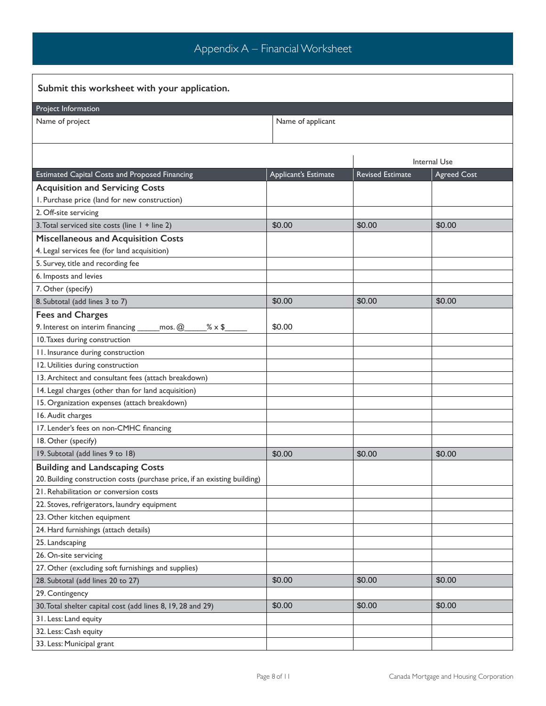# Appendix A – Financial Worksheet

| Submit this worksheet with your application.                              |                      |                         |                    |
|---------------------------------------------------------------------------|----------------------|-------------------------|--------------------|
| Project Information                                                       |                      |                         |                    |
| Name of project                                                           | Name of applicant    |                         |                    |
|                                                                           |                      |                         | Internal Use       |
| <b>Estimated Capital Costs and Proposed Financing</b>                     | Applicant's Estimate | <b>Revised Estimate</b> | <b>Agreed Cost</b> |
| <b>Acquisition and Servicing Costs</b>                                    |                      |                         |                    |
| I. Purchase price (land for new construction)                             |                      |                         |                    |
| 2. Off-site servicing                                                     |                      |                         |                    |
| 3. Total serviced site costs (line I + line 2)                            | \$0.00               | \$0.00                  | \$0.00             |
| <b>Miscellaneous and Acquisition Costs</b>                                |                      |                         |                    |
| 4. Legal services fee (for land acquisition)                              |                      |                         |                    |
| 5. Survey, title and recording fee                                        |                      |                         |                    |
| 6. Imposts and levies                                                     |                      |                         |                    |
| 7. Other (specify)                                                        |                      |                         |                    |
| 8. Subtotal (add lines 3 to 7)                                            | \$0.00               | \$0.00                  | \$0.00             |
| <b>Fees and Charges</b>                                                   |                      |                         |                    |
| 9. Interest on interim financing<br>mos. $@$<br>$% \times$ \$             | \$0.00               |                         |                    |
| 10. Taxes during construction                                             |                      |                         |                    |
| II. Insurance during construction                                         |                      |                         |                    |
| 12. Utilities during construction                                         |                      |                         |                    |
| 13. Architect and consultant fees (attach breakdown)                      |                      |                         |                    |
| 14. Legal charges (other than for land acquisition)                       |                      |                         |                    |
| 15. Organization expenses (attach breakdown)                              |                      |                         |                    |
| 16. Audit charges                                                         |                      |                         |                    |
| 17. Lender's fees on non-CMHC financing                                   |                      |                         |                    |
| 18. Other (specify)                                                       |                      |                         |                    |
| 19. Subtotal (add lines 9 to 18)                                          | \$0.00               | \$0.00                  | \$0.00             |
| <b>Building and Landscaping Costs</b>                                     |                      |                         |                    |
| 20. Building construction costs (purchase price, if an existing building) |                      |                         |                    |
| 21. Rehabilitation or conversion costs                                    |                      |                         |                    |
| 22. Stoves, refrigerators, laundry equipment                              |                      |                         |                    |
| 23. Other kitchen equipment                                               |                      |                         |                    |
| 24. Hard furnishings (attach details)                                     |                      |                         |                    |
| 25. Landscaping                                                           |                      |                         |                    |
| 26. On-site servicing                                                     |                      |                         |                    |
| 27. Other (excluding soft furnishings and supplies)                       |                      |                         |                    |
| 28. Subtotal (add lines 20 to 27)                                         | \$0.00               | \$0.00                  | \$0.00             |
| 29. Contingency                                                           |                      |                         |                    |
| 30. Total shelter capital cost (add lines 8, 19, 28 and 29)               | \$0.00               | \$0.00                  | \$0.00             |
| 31. Less: Land equity                                                     |                      |                         |                    |
| 32. Less: Cash equity                                                     |                      |                         |                    |
| 33. Less: Municipal grant                                                 |                      |                         |                    |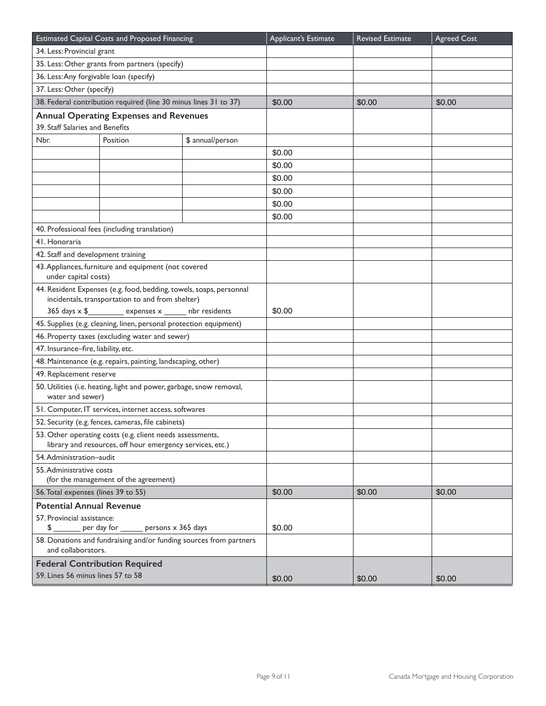| <b>Estimated Capital Costs and Proposed Financing</b>                                                                   |                                                                                                                        |                  | Applicant's Estimate | <b>Revised Estimate</b> | <b>Agreed Cost</b> |
|-------------------------------------------------------------------------------------------------------------------------|------------------------------------------------------------------------------------------------------------------------|------------------|----------------------|-------------------------|--------------------|
| 34. Less: Provincial grant                                                                                              |                                                                                                                        |                  |                      |                         |                    |
| 35. Less: Other grants from partners (specify)                                                                          |                                                                                                                        |                  |                      |                         |                    |
| 36. Less: Any forgivable loan (specify)                                                                                 |                                                                                                                        |                  |                      |                         |                    |
| 37. Less: Other (specify)                                                                                               |                                                                                                                        |                  |                      |                         |                    |
|                                                                                                                         | 38. Federal contribution required (line 30 minus lines 31 to 37)                                                       |                  | \$0.00               | \$0.00                  | \$0.00             |
|                                                                                                                         | <b>Annual Operating Expenses and Revenues</b>                                                                          |                  |                      |                         |                    |
| 39. Staff Salaries and Benefits                                                                                         |                                                                                                                        |                  |                      |                         |                    |
| Nbr.                                                                                                                    | Position                                                                                                               | \$ annual/person |                      |                         |                    |
|                                                                                                                         |                                                                                                                        |                  | \$0.00               |                         |                    |
|                                                                                                                         |                                                                                                                        |                  | \$0.00               |                         |                    |
|                                                                                                                         |                                                                                                                        |                  | \$0.00               |                         |                    |
|                                                                                                                         |                                                                                                                        |                  | \$0.00               |                         |                    |
|                                                                                                                         |                                                                                                                        |                  | \$0.00               |                         |                    |
|                                                                                                                         |                                                                                                                        |                  | \$0.00               |                         |                    |
|                                                                                                                         | 40. Professional fees (including translation)                                                                          |                  |                      |                         |                    |
| 41. Honoraria                                                                                                           |                                                                                                                        |                  |                      |                         |                    |
| 42. Staff and development training                                                                                      |                                                                                                                        |                  |                      |                         |                    |
| 43. Appliances, furniture and equipment (not covered<br>under capital costs)                                            |                                                                                                                        |                  |                      |                         |                    |
| 44. Resident Expenses (e.g. food, bedding, towels, soaps, personnal<br>incidentals, transportation to and from shelter) |                                                                                                                        |                  |                      |                         |                    |
| 365 days x \$____________ expenses x _______ nbr residents                                                              |                                                                                                                        | \$0.00           |                      |                         |                    |
| 45. Supplies (e.g. cleaning, linen, personal protection equipment)                                                      |                                                                                                                        |                  |                      |                         |                    |
|                                                                                                                         | 46. Property taxes (excluding water and sewer)                                                                         |                  |                      |                         |                    |
| 47. Insurance-fire, liability, etc.                                                                                     |                                                                                                                        |                  |                      |                         |                    |
|                                                                                                                         | 48. Maintenance (e.g. repairs, painting, landscaping, other)                                                           |                  |                      |                         |                    |
| 49. Replacement reserve                                                                                                 |                                                                                                                        |                  |                      |                         |                    |
| 50. Utilities (i.e. heating, light and power, garbage, snow removal,<br>water and sewer)                                |                                                                                                                        |                  |                      |                         |                    |
|                                                                                                                         | 51. Computer, IT services, internet access, softwares                                                                  |                  |                      |                         |                    |
|                                                                                                                         | 52. Security (e.g. fences, cameras, file cabinets)                                                                     |                  |                      |                         |                    |
|                                                                                                                         | 53. Other operating costs (e.g. client needs assessments,<br>library and resources, off hour emergency services, etc.) |                  |                      |                         |                    |
| 54. Administration-audit                                                                                                |                                                                                                                        |                  |                      |                         |                    |
| 55. Administrative costs<br>(for the management of the agreement)                                                       |                                                                                                                        |                  |                      |                         |                    |
| 56. Total expenses (lines 39 to 55)                                                                                     |                                                                                                                        |                  | \$0.00               | \$0.00                  | \$0.00             |
| <b>Potential Annual Revenue</b>                                                                                         |                                                                                                                        |                  |                      |                         |                    |
| 57. Provincial assistance:                                                                                              |                                                                                                                        |                  |                      |                         |                    |
| \$                                                                                                                      | per day for _______ persons x 365 days                                                                                 |                  | \$0.00               |                         |                    |
| and collaborators.                                                                                                      | 58. Donations and fundraising and/or funding sources from partners                                                     |                  |                      |                         |                    |
|                                                                                                                         | <b>Federal Contribution Required</b>                                                                                   |                  |                      |                         |                    |
|                                                                                                                         | 59. Lines 56 minus lines 57 to 58                                                                                      |                  |                      | \$0.00                  | \$0.00             |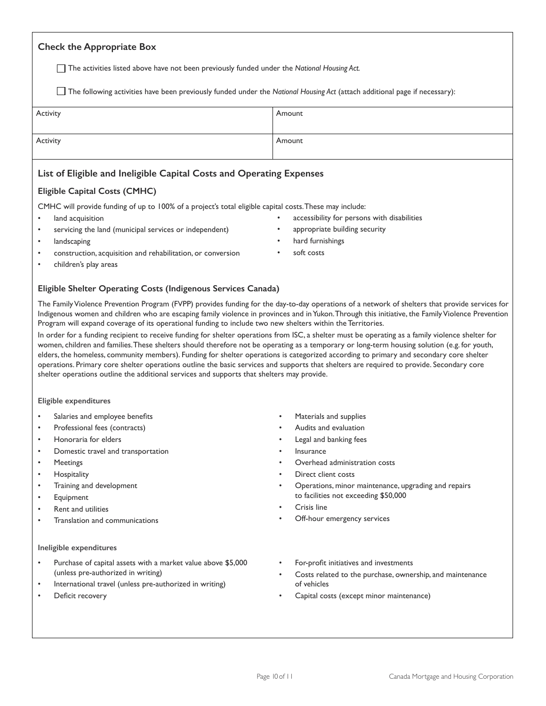| <b>Check the Appropriate Box</b> |  |  |  |  |  |
|----------------------------------|--|--|--|--|--|
|----------------------------------|--|--|--|--|--|

The activities listed above have not been previously funded under the *National Housing Act.*

The following activities have been previously funded under the *National Housing Act* (attach additional page if necessary):

| Activity | Amount |
|----------|--------|
|          |        |
| Activity | Amount |
|          |        |

# **List of Eligible and Ineligible Capital Costs and Operating Expenses**

### **Eligible Capital Costs (CMHC)**

CMHC will provide funding of up to 100% of a project's total eligible capital costs. These may include:

- land acquisition
- servicing the land (municipal services or independent)
- landscaping
- construction, acquisition and rehabilitation, or conversion
- children's play areas

#### **Eligible Shelter Operating Costs (Indigenous Services Canada)**

The Family Violence Prevention Program (FVPP) provides funding for the day-to-day operations of a network of shelters that provide services for Indigenous women and children who are escaping family violence in provinces and in Yukon. Through this initiative, the Family Violence Prevention Program will expand coverage of its operational funding to include two new shelters within the Territories.

In order for a funding recipient to receive funding for shelter operations from ISC, a shelter must be operating as a family violence shelter for women, children and families. These shelters should therefore not be operating as a temporary or long-term housing solution (e.g. for youth, elders, the homeless, community members). Funding for shelter operations is categorized according to primary and secondary core shelter operations. Primary core shelter operations outline the basic services and supports that shelters are required to provide. Secondary core shelter operations outline the additional services and supports that shelters may provide.

#### **Eligible expenditures**

- Salaries and employee benefits
- Professional fees (contracts)
- Honoraria for elders
- Domestic travel and transportation
- **Meetings**
- **Hospitality**
- Training and development
- **Equipment**
- **Rent and utilities**
- Translation and communications

#### **Ineligible expenditures**

- Purchase of capital assets with a market value above \$5,000 (unless pre-authorized in writing)
- International travel (unless pre-authorized in writing)
- Deficit recovery
- Materials and supplies
- Audits and evaluation
- Legal and banking fees
- **Insurance**
- Overhead administration costs
- Direct client costs
- Operations, minor maintenance, upgrading and repairs to facilities not exceeding \$50,000
- Crisis line
- Off-hour emergency services
- For-profit initiatives and investments
- Costs related to the purchase, ownership, and maintenance of vehicles
- Capital costs (except minor maintenance)
- accessibility for persons with disabilities
- appropriate building security
- hard furnishings
- soft costs